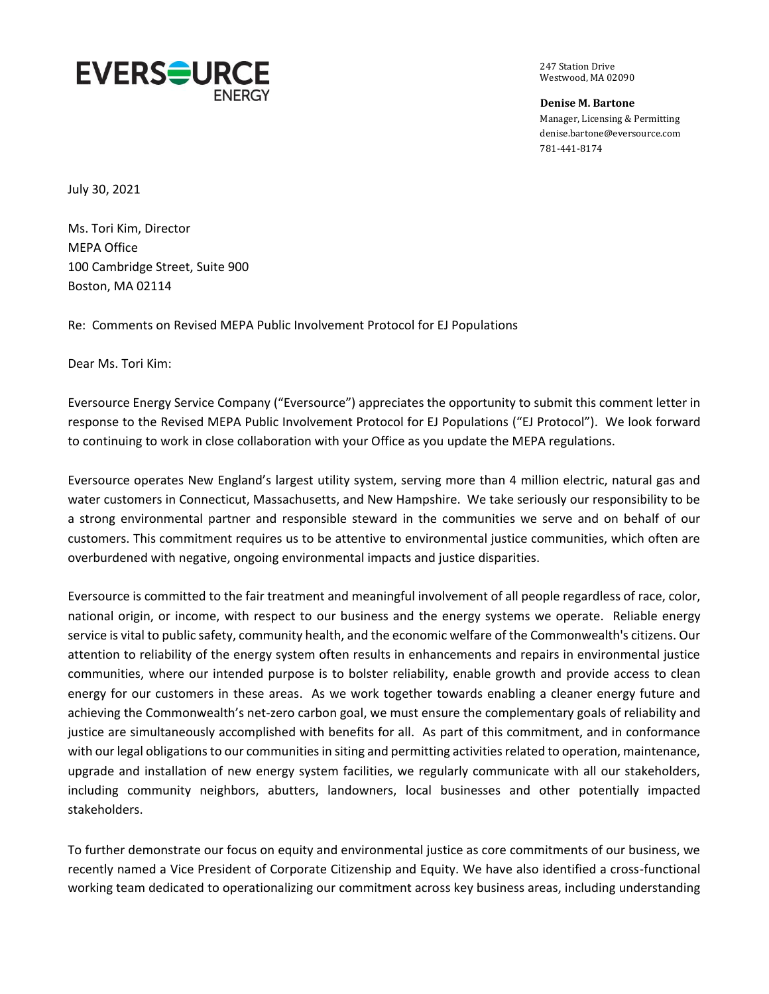

247 Station Drive Westwood, MA 02090

**Denise M. Bartone** Manager, Licensing & Permitting denise.bartone@eversource.com 781-441-8174

July 30, 2021

Ms. Tori Kim, Director MEPA Office 100 Cambridge Street, Suite 900 Boston, MA 02114

Re: Comments on Revised MEPA Public Involvement Protocol for EJ Populations

Dear Ms. Tori Kim:

Eversource Energy Service Company ("Eversource") appreciates the opportunity to submit this comment letter in response to the Revised MEPA Public Involvement Protocol for EJ Populations ("EJ Protocol"). We look forward to continuing to work in close collaboration with your Office as you update the MEPA regulations.

Eversource operates New England's largest utility system, serving more than 4 million electric, natural gas and water customers in Connecticut, Massachusetts, and New Hampshire. We take seriously our responsibility to be a strong environmental partner and responsible steward in the communities we serve and on behalf of our customers. This commitment requires us to be attentive to environmental justice communities, which often are overburdened with negative, ongoing environmental impacts and justice disparities.

Eversource is committed to the fair treatment and meaningful involvement of all people regardless of race, color, national origin, or income, with respect to our business and the energy systems we operate. Reliable energy service is vital to public safety, community health, and the economic welfare of the Commonwealth's citizens. Our attention to reliability of the energy system often results in enhancements and repairs in environmental justice communities, where our intended purpose is to bolster reliability, enable growth and provide access to clean energy for our customers in these areas. As we work together towards enabling a cleaner energy future and achieving the Commonwealth's net-zero carbon goal, we must ensure the complementary goals of reliability and justice are simultaneously accomplished with benefits for all. As part of this commitment, and in conformance with our legal obligations to our communities in siting and permitting activities related to operation, maintenance, upgrade and installation of new energy system facilities, we regularly communicate with all our stakeholders, including community neighbors, abutters, landowners, local businesses and other potentially impacted stakeholders.

To further demonstrate our focus on equity and environmental justice as core commitments of our business, we recently named a Vice President of Corporate Citizenship and Equity. We have also identified a cross-functional working team dedicated to operationalizing our commitment across key business areas, including understanding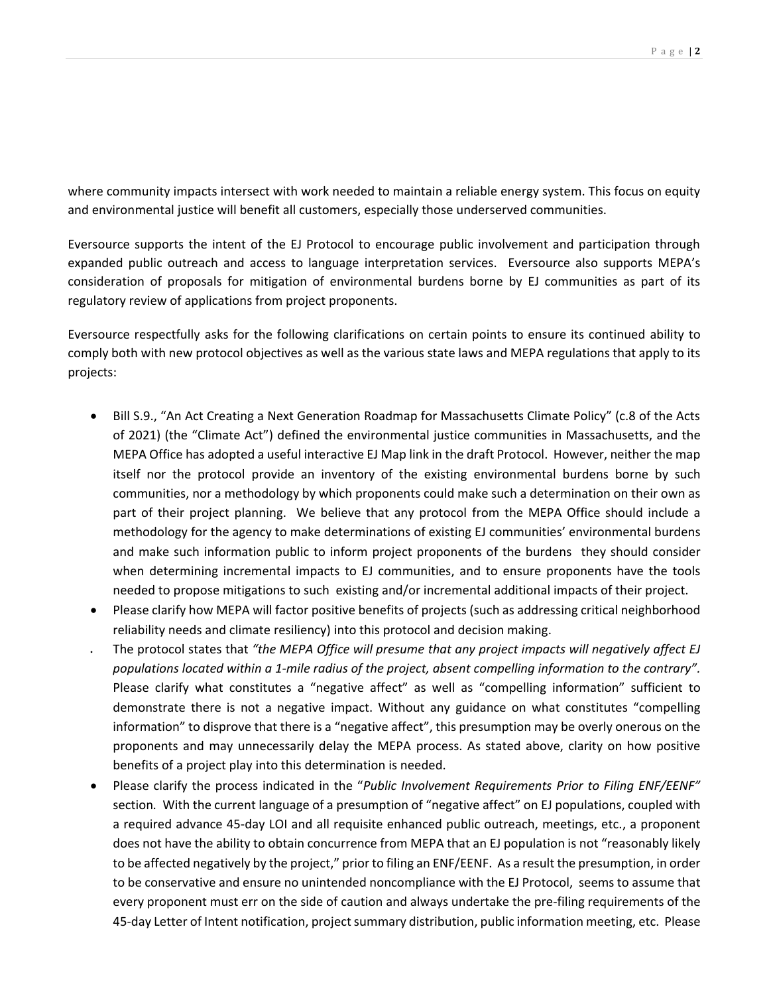where community impacts intersect with work needed to maintain a reliable energy system. This focus on equity and environmental justice will benefit all customers, especially those underserved communities.

Eversource supports the intent of the EJ Protocol to encourage public involvement and participation through expanded public outreach and access to language interpretation services. Eversource also supports MEPA's consideration of proposals for mitigation of environmental burdens borne by EJ communities as part of its regulatory review of applications from project proponents.

Eversource respectfully asks for the following clarifications on certain points to ensure its continued ability to comply both with new protocol objectives as well as the various state laws and MEPA regulations that apply to its projects:

- Bill S.9., "An Act Creating a Next Generation Roadmap for Massachusetts Climate Policy" (c.8 of the Acts of 2021) (the "Climate Act") defined the environmental justice communities in Massachusetts, and the MEPA Office has adopted a useful interactive EJ Map link in the draft Protocol. However, neither the map itself nor the protocol provide an inventory of the existing environmental burdens borne by such communities, nor a methodology by which proponents could make such a determination on their own as part of their project planning. We believe that any protocol from the MEPA Office should include a methodology for the agency to make determinations of existing EJ communities' environmental burdens and make such information public to inform project proponents of the burdens they should consider when determining incremental impacts to EJ communities, and to ensure proponents have the tools needed to propose mitigations to such existing and/or incremental additional impacts of their project.
- Please clarify how MEPA will factor positive benefits of projects (such as addressing critical neighborhood reliability needs and climate resiliency) into this protocol and decision making.
- The protocol states that *"the MEPA Office will presume that any project impacts will negatively affect EJ populations located within a 1-mile radius of the project, absent compelling information to the contrary".* Please clarify what constitutes a "negative affect" as well as "compelling information" sufficient to demonstrate there is not a negative impact. Without any guidance on what constitutes "compelling information" to disprove that there is a "negative affect", this presumption may be overly onerous on the proponents and may unnecessarily delay the MEPA process. As stated above, clarity on how positive benefits of a project play into this determination is needed.
- Please clarify the process indicated in the "*Public Involvement Requirements Prior to Filing ENF/EENF"* section*.* With the current language of a presumption of "negative affect" on EJ populations, coupled with a required advance 45-day LOI and all requisite enhanced public outreach, meetings, etc., a proponent does not have the ability to obtain concurrence from MEPA that an EJ population is not "reasonably likely to be affected negatively by the project," prior to filing an ENF/EENF. As a result the presumption, in order to be conservative and ensure no unintended noncompliance with the EJ Protocol, seems to assume that every proponent must err on the side of caution and always undertake the pre-filing requirements of the 45-day Letter of Intent notification, project summary distribution, public information meeting, etc. Please